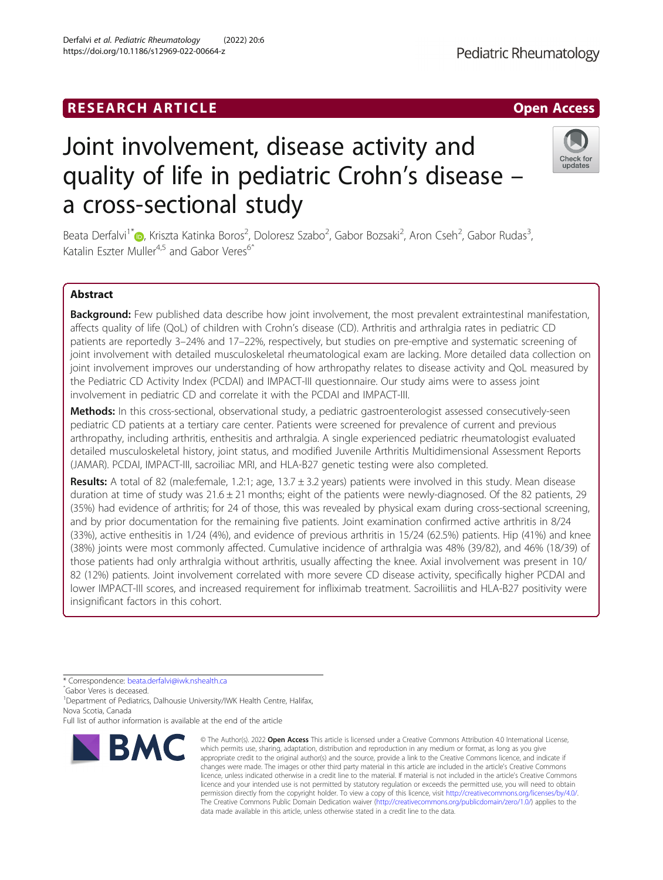# **RESEARCH ARTICLE Example 2018 12:00 Department of the Contract Open Access**

# Joint involvement, disease activity and quality of life in pediatric Crohn's disease – a cross-sectional study

Beata Derfalvi<sup>1\*</sup>®, Kriszta Katinka Boros<sup>2</sup>, Doloresz Szabo<sup>2</sup>, Gabor Bozsaki<sup>2</sup>, Aron Cseh<sup>2</sup>, Gabor Rudas<sup>3</sup> , Katalin Eszter Muller<sup>4,5</sup> and Gabor Veres<sup>6</sup><sup>^</sup>

# Abstract

Background: Few published data describe how joint involvement, the most prevalent extraintestinal manifestation, affects quality of life (QoL) of children with Crohn's disease (CD). Arthritis and arthralgia rates in pediatric CD patients are reportedly 3–24% and 17–22%, respectively, but studies on pre-emptive and systematic screening of joint involvement with detailed musculoskeletal rheumatological exam are lacking. More detailed data collection on joint involvement improves our understanding of how arthropathy relates to disease activity and QoL measured by the Pediatric CD Activity Index (PCDAI) and IMPACT-III questionnaire. Our study aims were to assess joint involvement in pediatric CD and correlate it with the PCDAI and IMPACT-III.

Methods: In this cross-sectional, observational study, a pediatric gastroenterologist assessed consecutively-seen pediatric CD patients at a tertiary care center. Patients were screened for prevalence of current and previous arthropathy, including arthritis, enthesitis and arthralgia. A single experienced pediatric rheumatologist evaluated detailed musculoskeletal history, joint status, and modified Juvenile Arthritis Multidimensional Assessment Reports (JAMAR). PCDAI, IMPACT-III, sacroiliac MRI, and HLA-B27 genetic testing were also completed.

Results: A total of 82 (male:female, 1.2:1; age, 13.7 ± 3.2 years) patients were involved in this study. Mean disease duration at time of study was  $21.6 \pm 21$  months; eight of the patients were newly-diagnosed. Of the 82 patients, 29 (35%) had evidence of arthritis; for 24 of those, this was revealed by physical exam during cross-sectional screening, and by prior documentation for the remaining five patients. Joint examination confirmed active arthritis in 8/24 (33%), active enthesitis in 1/24 (4%), and evidence of previous arthritis in 15/24 (62.5%) patients. Hip (41%) and knee (38%) joints were most commonly affected. Cumulative incidence of arthralgia was 48% (39/82), and 46% (18/39) of those patients had only arthralgia without arthritis, usually affecting the knee. Axial involvement was present in 10/ 82 (12%) patients. Joint involvement correlated with more severe CD disease activity, specifically higher PCDAI and lower IMPACT-III scores, and increased requirement for infliximab treatment. Sacroiliitis and HLA-B27 positivity were insignificant factors in this cohort.

<sup>1</sup>Department of Pediatrics, Dalhousie University/IWK Health Centre, Halifax, Nova Scotia, Canada



<sup>©</sup> The Author(s), 2022 **Open Access** This article is licensed under a Creative Commons Attribution 4.0 International License, which permits use, sharing, adaptation, distribution and reproduction in any medium or format, as long as you give appropriate credit to the original author(s) and the source, provide a link to the Creative Commons licence, and indicate if changes were made. The images or other third party material in this article are included in the article's Creative Commons licence, unless indicated otherwise in a credit line to the material. If material is not included in the article's Creative Commons licence and your intended use is not permitted by statutory regulation or exceeds the permitted use, you will need to obtain permission directly from the copyright holder. To view a copy of this licence, visit [http://creativecommons.org/licenses/by/4.0/.](http://creativecommons.org/licenses/by/4.0/) The Creative Commons Public Domain Dedication waiver [\(http://creativecommons.org/publicdomain/zero/1.0/](http://creativecommons.org/publicdomain/zero/1.0/)) applies to the data made available in this article, unless otherwise stated in a credit line to the data.



updates



<sup>\*</sup> Correspondence: [beata.derfalvi@iwk.nshealth.ca](mailto:beata.derfalvi@iwk.nshealth.ca) <sup>ˆ</sup>Gabor Veres is deceased.

Full list of author information is available at the end of the article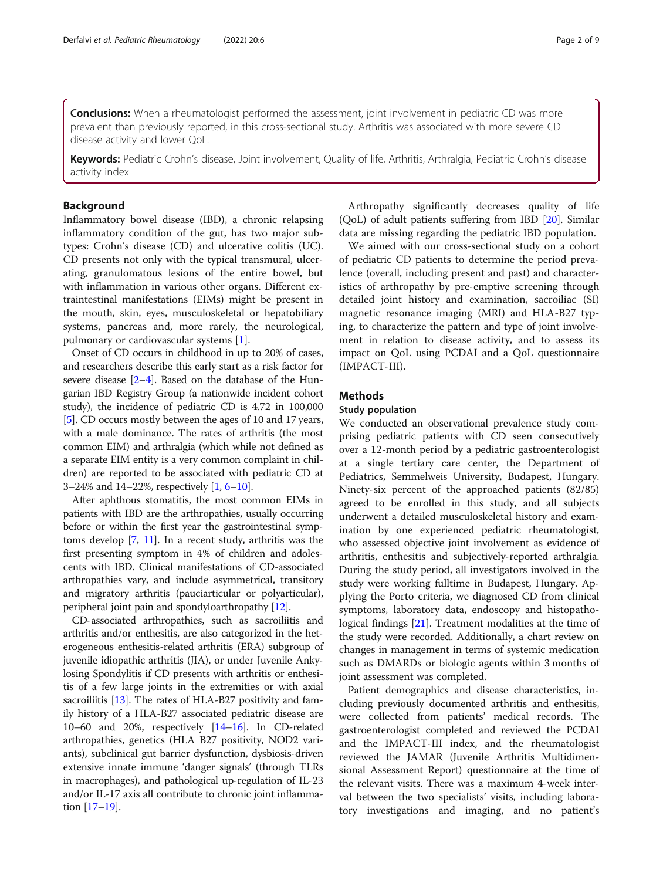**Conclusions:** When a rheumatologist performed the assessment, joint involvement in pediatric CD was more prevalent than previously reported, in this cross-sectional study. Arthritis was associated with more severe CD disease activity and lower QoL.

Keywords: Pediatric Crohn's disease, Joint involvement, Quality of life, Arthritis, Arthralgia, Pediatric Crohn's disease activity index

# Background

Inflammatory bowel disease (IBD), a chronic relapsing inflammatory condition of the gut, has two major subtypes: Crohn's disease (CD) and ulcerative colitis (UC). CD presents not only with the typical transmural, ulcerating, granulomatous lesions of the entire bowel, but with inflammation in various other organs. Different extraintestinal manifestations (EIMs) might be present in the mouth, skin, eyes, musculoskeletal or hepatobiliary systems, pancreas and, more rarely, the neurological, pulmonary or cardiovascular systems [[1\]](#page-7-0).

Onset of CD occurs in childhood in up to 20% of cases, and researchers describe this early start as a risk factor for severe disease  $[2-4]$  $[2-4]$  $[2-4]$ . Based on the database of the Hungarian IBD Registry Group (a nationwide incident cohort study), the incidence of pediatric CD is 4.72 in 100,000 [[5\]](#page-7-0). CD occurs mostly between the ages of 10 and 17 years, with a male dominance. The rates of arthritis (the most common EIM) and arthralgia (which while not defined as a separate EIM entity is a very common complaint in children) are reported to be associated with pediatric CD at 3–24% and 14–22%, respectively [\[1](#page-7-0), [6](#page-7-0)–[10](#page-7-0)].

After aphthous stomatitis, the most common EIMs in patients with IBD are the arthropathies, usually occurring before or within the first year the gastrointestinal symptoms develop [\[7,](#page-7-0) [11](#page-7-0)]. In a recent study, arthritis was the first presenting symptom in 4% of children and adolescents with IBD. Clinical manifestations of CD-associated arthropathies vary, and include asymmetrical, transitory and migratory arthritis (pauciarticular or polyarticular), peripheral joint pain and spondyloarthropathy [[12](#page-7-0)].

CD-associated arthropathies, such as sacroiliitis and arthritis and/or enthesitis, are also categorized in the heterogeneous enthesitis-related arthritis (ERA) subgroup of juvenile idiopathic arthritis (JIA), or under Juvenile Ankylosing Spondylitis if CD presents with arthritis or enthesitis of a few large joints in the extremities or with axial sacroiliitis [[13\]](#page-7-0). The rates of HLA-B27 positivity and family history of a HLA-B27 associated pediatric disease are 10–60 and 20%, respectively [\[14](#page-7-0)–[16](#page-7-0)]. In CD-related arthropathies, genetics (HLA B27 positivity, NOD2 variants), subclinical gut barrier dysfunction, dysbiosis-driven extensive innate immune 'danger signals' (through TLRs in macrophages), and pathological up-regulation of IL-23 and/or IL-17 axis all contribute to chronic joint inflammation [\[17](#page-7-0)–[19](#page-7-0)].

Arthropathy significantly decreases quality of life (QoL) of adult patients suffering from IBD [[20\]](#page-7-0). Similar data are missing regarding the pediatric IBD population.

We aimed with our cross-sectional study on a cohort of pediatric CD patients to determine the period prevalence (overall, including present and past) and characteristics of arthropathy by pre-emptive screening through detailed joint history and examination, sacroiliac (SI) magnetic resonance imaging (MRI) and HLA-B27 typing, to characterize the pattern and type of joint involvement in relation to disease activity, and to assess its impact on QoL using PCDAI and a QoL questionnaire (IMPACT-III).

# Methods

#### Study population

We conducted an observational prevalence study comprising pediatric patients with CD seen consecutively over a 12-month period by a pediatric gastroenterologist at a single tertiary care center, the Department of Pediatrics, Semmelweis University, Budapest, Hungary. Ninety-six percent of the approached patients (82/85) agreed to be enrolled in this study, and all subjects underwent a detailed musculoskeletal history and examination by one experienced pediatric rheumatologist, who assessed objective joint involvement as evidence of arthritis, enthesitis and subjectively-reported arthralgia. During the study period, all investigators involved in the study were working fulltime in Budapest, Hungary. Applying the Porto criteria, we diagnosed CD from clinical symptoms, laboratory data, endoscopy and histopathological findings [[21\]](#page-7-0). Treatment modalities at the time of the study were recorded. Additionally, a chart review on changes in management in terms of systemic medication such as DMARDs or biologic agents within 3 months of joint assessment was completed.

Patient demographics and disease characteristics, including previously documented arthritis and enthesitis, were collected from patients' medical records. The gastroenterologist completed and reviewed the PCDAI and the IMPACT-III index, and the rheumatologist reviewed the JAMAR (Juvenile Arthritis Multidimensional Assessment Report) questionnaire at the time of the relevant visits. There was a maximum 4-week interval between the two specialists' visits, including laboratory investigations and imaging, and no patient's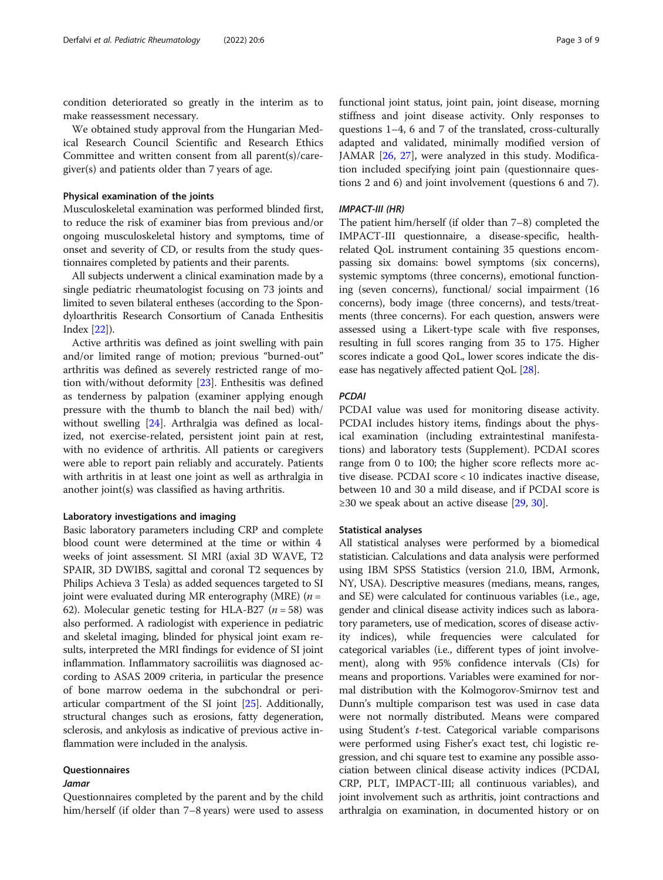condition deteriorated so greatly in the interim as to make reassessment necessary.

We obtained study approval from the Hungarian Medical Research Council Scientific and Research Ethics Committee and written consent from all parent(s)/caregiver(s) and patients older than 7 years of age.

#### Physical examination of the joints

Musculoskeletal examination was performed blinded first, to reduce the risk of examiner bias from previous and/or ongoing musculoskeletal history and symptoms, time of onset and severity of CD, or results from the study questionnaires completed by patients and their parents.

All subjects underwent a clinical examination made by a single pediatric rheumatologist focusing on 73 joints and limited to seven bilateral entheses (according to the Spondyloarthritis Research Consortium of Canada Enthesitis Index [\[22\]](#page-8-0)).

Active arthritis was defined as joint swelling with pain and/or limited range of motion; previous "burned-out" arthritis was defined as severely restricted range of motion with/without deformity [[23](#page-8-0)]. Enthesitis was defined as tenderness by palpation (examiner applying enough pressure with the thumb to blanch the nail bed) with/ without swelling [[24\]](#page-8-0). Arthralgia was defined as localized, not exercise-related, persistent joint pain at rest, with no evidence of arthritis. All patients or caregivers were able to report pain reliably and accurately. Patients with arthritis in at least one joint as well as arthralgia in another joint(s) was classified as having arthritis.

#### Laboratory investigations and imaging

Basic laboratory parameters including CRP and complete blood count were determined at the time or within 4 weeks of joint assessment. SI MRI (axial 3D WAVE, T2 SPAIR, 3D DWIBS, sagittal and coronal T2 sequences by Philips Achieva 3 Tesla) as added sequences targeted to SI joint were evaluated during MR enterography (MRE)  $(n =$ 62). Molecular genetic testing for HLA-B27 ( $n = 58$ ) was also performed. A radiologist with experience in pediatric and skeletal imaging, blinded for physical joint exam results, interpreted the MRI findings for evidence of SI joint inflammation. Inflammatory sacroiliitis was diagnosed according to ASAS 2009 criteria, in particular the presence of bone marrow oedema in the subchondral or periarticular compartment of the SI joint [\[25\]](#page-8-0). Additionally, structural changes such as erosions, fatty degeneration, sclerosis, and ankylosis as indicative of previous active inflammation were included in the analysis.

# Questionnaires

#### Jamar

Questionnaires completed by the parent and by the child him/herself (if older than 7–8 years) were used to assess functional joint status, joint pain, joint disease, morning stiffness and joint disease activity. Only responses to questions 1–4, 6 and 7 of the translated, cross-culturally adapted and validated, minimally modified version of JAMAR [[26,](#page-8-0) [27](#page-8-0)], were analyzed in this study. Modification included specifying joint pain (questionnaire questions 2 and 6) and joint involvement (questions 6 and 7).

#### IMPACT-III (HR)

The patient him/herself (if older than 7–8) completed the IMPACT-III questionnaire, a disease-specific, healthrelated QoL instrument containing 35 questions encompassing six domains: bowel symptoms (six concerns), systemic symptoms (three concerns), emotional functioning (seven concerns), functional/ social impairment (16 concerns), body image (three concerns), and tests/treatments (three concerns). For each question, answers were assessed using a Likert-type scale with five responses, resulting in full scores ranging from 35 to 175. Higher scores indicate a good QoL, lower scores indicate the disease has negatively affected patient QoL [[28](#page-8-0)].

#### PCDAI

PCDAI value was used for monitoring disease activity. PCDAI includes history items, findings about the physical examination (including extraintestinal manifestations) and laboratory tests (Supplement). PCDAI scores range from 0 to 100; the higher score reflects more active disease. PCDAI score < 10 indicates inactive disease, between 10 and 30 a mild disease, and if PCDAI score is ≥[30](#page-8-0) we speak about an active disease  $[29, 30]$  $[29, 30]$  $[29, 30]$ .

#### Statistical analyses

All statistical analyses were performed by a biomedical statistician. Calculations and data analysis were performed using IBM SPSS Statistics (version 21.0, IBM, Armonk, NY, USA). Descriptive measures (medians, means, ranges, and SE) were calculated for continuous variables (i.e., age, gender and clinical disease activity indices such as laboratory parameters, use of medication, scores of disease activity indices), while frequencies were calculated for categorical variables (i.e., different types of joint involvement), along with 95% confidence intervals (CIs) for means and proportions. Variables were examined for normal distribution with the Kolmogorov-Smirnov test and Dunn's multiple comparison test was used in case data were not normally distributed. Means were compared using Student's t-test. Categorical variable comparisons were performed using Fisher's exact test, chi logistic regression, and chi square test to examine any possible association between clinical disease activity indices (PCDAI, CRP, PLT, IMPACT-III; all continuous variables), and joint involvement such as arthritis, joint contractions and arthralgia on examination, in documented history or on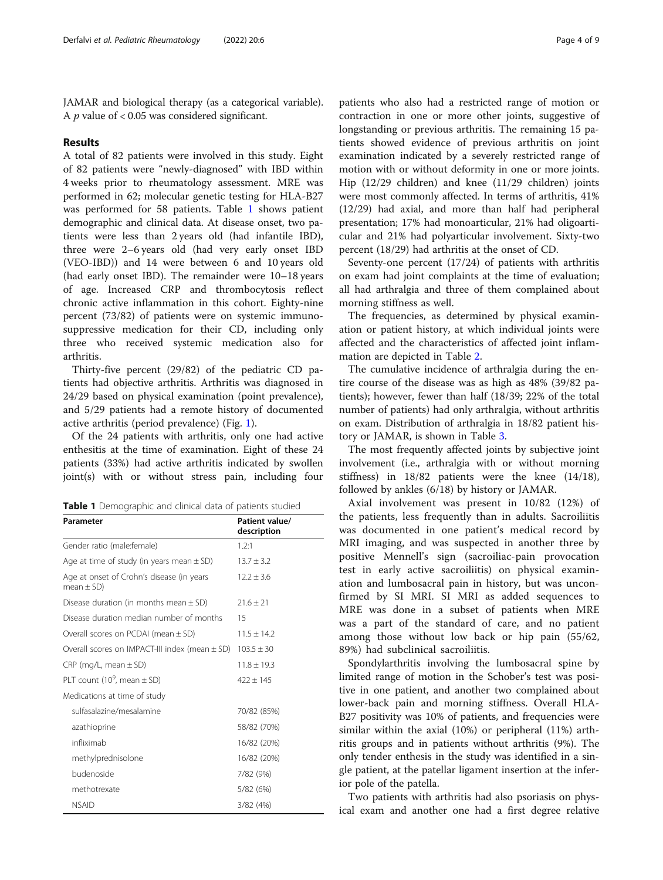<span id="page-3-0"></span>JAMAR and biological therapy (as a categorical variable). A  $p$  value of < 0.05 was considered significant.

#### Results

A total of 82 patients were involved in this study. Eight of 82 patients were "newly-diagnosed" with IBD within 4 weeks prior to rheumatology assessment. MRE was performed in 62; molecular genetic testing for HLA-B27 was performed for 58 patients. Table 1 shows patient demographic and clinical data. At disease onset, two patients were less than 2 years old (had infantile IBD), three were 2–6 years old (had very early onset IBD (VEO-IBD)) and 14 were between 6 and 10 years old (had early onset IBD). The remainder were 10–18 years of age. Increased CRP and thrombocytosis reflect chronic active inflammation in this cohort. Eighty-nine percent (73/82) of patients were on systemic immunosuppressive medication for their CD, including only three who received systemic medication also for arthritis.

Thirty-five percent (29/82) of the pediatric CD patients had objective arthritis. Arthritis was diagnosed in 24/29 based on physical examination (point prevalence), and 5/29 patients had a remote history of documented active arthritis (period prevalence) (Fig. [1\)](#page-4-0).

Of the 24 patients with arthritis, only one had active enthesitis at the time of examination. Eight of these 24 patients (33%) had active arthritis indicated by swollen joint(s) with or without stress pain, including four

| Parameter                                                   | Patient value/<br>description |  |  |
|-------------------------------------------------------------|-------------------------------|--|--|
| Gender ratio (male:female)                                  | 1.2:1                         |  |  |
| Age at time of study (in years mean $\pm$ SD)               | $13.7 \pm 3.2$                |  |  |
| Age at onset of Crohn's disease (in years<br>mean $\pm$ SD) | $12.2 \pm 3.6$                |  |  |
| Disease duration (in months mean $\pm$ SD)                  | $21.6 \pm 21$                 |  |  |
| Disease duration median number of months                    | 15                            |  |  |
| Overall scores on PCDAI (mean $\pm$ SD)                     | $11.5 + 14.2$                 |  |  |
| Overall scores on IMPACT-III index (mean $\pm$ SD)          | $103.5 \pm 30$                |  |  |
| $CRP$ (mg/L, mean $\pm$ SD)                                 | $11.8 \pm 19.3$               |  |  |
| PLT count (10 $^9$ , mean $\pm$ SD)                         | $422 + 145$                   |  |  |
| Medications at time of study                                |                               |  |  |
| sulfasalazine/mesalamine                                    | 70/82 (85%)                   |  |  |
| azathioprine                                                | 58/82 (70%)                   |  |  |
| infliximab                                                  | 16/82 (20%)                   |  |  |
| methylprednisolone                                          | 16/82 (20%)                   |  |  |
| budenoside                                                  | 7/82 (9%)                     |  |  |
| methotrexate                                                | 5/82 (6%)                     |  |  |
| <b>NSAID</b>                                                | 3/82 (4%)                     |  |  |

patients who also had a restricted range of motion or contraction in one or more other joints, suggestive of longstanding or previous arthritis. The remaining 15 patients showed evidence of previous arthritis on joint examination indicated by a severely restricted range of motion with or without deformity in one or more joints. Hip (12/29 children) and knee (11/29 children) joints were most commonly affected. In terms of arthritis, 41% (12/29) had axial, and more than half had peripheral presentation; 17% had monoarticular, 21% had oligoarticular and 21% had polyarticular involvement. Sixty-two percent (18/29) had arthritis at the onset of CD.

Seventy-one percent (17/24) of patients with arthritis on exam had joint complaints at the time of evaluation; all had arthralgia and three of them complained about morning stiffness as well.

The frequencies, as determined by physical examination or patient history, at which individual joints were affected and the characteristics of affected joint inflammation are depicted in Table [2](#page-4-0).

The cumulative incidence of arthralgia during the entire course of the disease was as high as 48% (39/82 patients); however, fewer than half (18/39; 22% of the total number of patients) had only arthralgia, without arthritis on exam. Distribution of arthralgia in 18/82 patient history or JAMAR, is shown in Table [3](#page-5-0).

The most frequently affected joints by subjective joint involvement (i.e., arthralgia with or without morning stiffness) in 18/82 patients were the knee (14/18), followed by ankles (6/18) by history or JAMAR.

Axial involvement was present in 10/82 (12%) of the patients, less frequently than in adults. Sacroiliitis was documented in one patient's medical record by MRI imaging, and was suspected in another three by positive Mennell's sign (sacroiliac-pain provocation test in early active sacroiliitis) on physical examination and lumbosacral pain in history, but was unconfirmed by SI MRI. SI MRI as added sequences to MRE was done in a subset of patients when MRE was a part of the standard of care, and no patient among those without low back or hip pain (55/62, 89%) had subclinical sacroiliitis.

Spondylarthritis involving the lumbosacral spine by limited range of motion in the Schober's test was positive in one patient, and another two complained about lower-back pain and morning stiffness. Overall HLA-B27 positivity was 10% of patients, and frequencies were similar within the axial (10%) or peripheral (11%) arthritis groups and in patients without arthritis (9%). The only tender enthesis in the study was identified in a single patient, at the patellar ligament insertion at the inferior pole of the patella.

Two patients with arthritis had also psoriasis on physical exam and another one had a first degree relative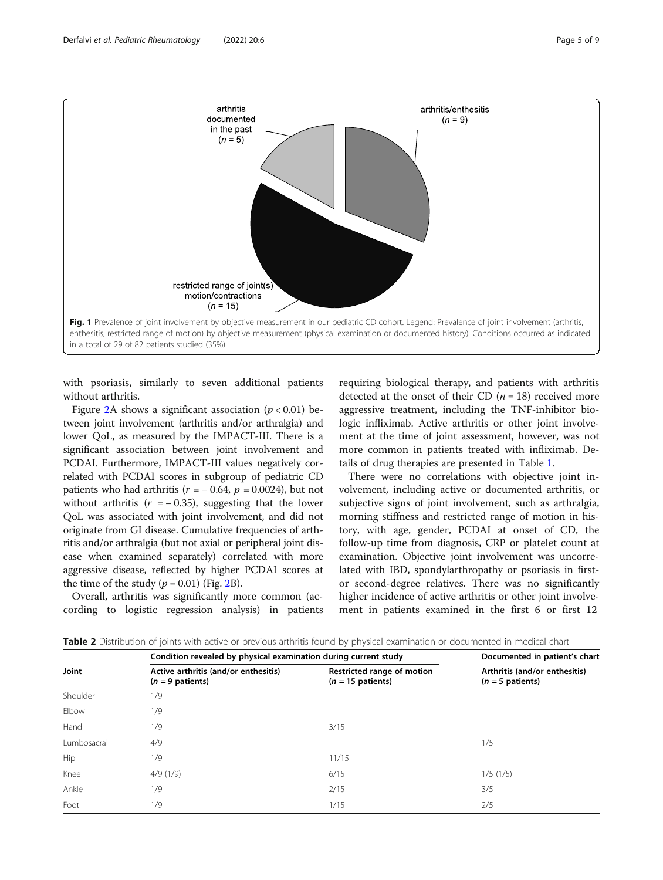<span id="page-4-0"></span>

with psoriasis, similarly to seven additional patients without arthritis.

Figure [2](#page-5-0)A shows a significant association ( $p < 0.01$ ) between joint involvement (arthritis and/or arthralgia) and lower QoL, as measured by the IMPACT-III. There is a significant association between joint involvement and PCDAI. Furthermore, IMPACT-III values negatively correlated with PCDAI scores in subgroup of pediatric CD patients who had arthritis ( $r = -0.64$ ,  $p = 0.0024$ ), but not without arthritis ( $r = -0.35$ ), suggesting that the lower QoL was associated with joint involvement, and did not originate from GI disease. Cumulative frequencies of arthritis and/or arthralgia (but not axial or peripheral joint disease when examined separately) correlated with more aggressive disease, reflected by higher PCDAI scores at the time of the study  $(p = 0.01)$  (Fig. [2B](#page-5-0)).

Overall, arthritis was significantly more common (according to logistic regression analysis) in patients

requiring biological therapy, and patients with arthritis detected at the onset of their CD  $(n = 18)$  received more aggressive treatment, including the TNF-inhibitor biologic infliximab. Active arthritis or other joint involvement at the time of joint assessment, however, was not more common in patients treated with infliximab. Details of drug therapies are presented in Table [1.](#page-3-0)

There were no correlations with objective joint involvement, including active or documented arthritis, or subjective signs of joint involvement, such as arthralgia, morning stiffness and restricted range of motion in history, with age, gender, PCDAI at onset of CD, the follow-up time from diagnosis, CRP or platelet count at examination. Objective joint involvement was uncorrelated with IBD, spondylarthropathy or psoriasis in firstor second-degree relatives. There was no significantly higher incidence of active arthritis or other joint involvement in patients examined in the first 6 or first 12

| Joint       | Condition revealed by physical examination during current study |                                                   | Documented in patient's chart                       |  |
|-------------|-----------------------------------------------------------------|---------------------------------------------------|-----------------------------------------------------|--|
|             | Active arthritis (and/or enthesitis)<br>$(n = 9$ patients)      | Restricted range of motion<br>$(n = 15$ patients) | Arthritis (and/or enthesitis)<br>$(n = 5$ patients) |  |
| Shoulder    | 1/9                                                             |                                                   |                                                     |  |
| Elbow       | 1/9                                                             |                                                   |                                                     |  |
| Hand        | 1/9                                                             | 3/15                                              |                                                     |  |
| Lumbosacral | 4/9                                                             |                                                   | 1/5                                                 |  |
| Hip         | 1/9                                                             | 11/15                                             |                                                     |  |
| Knee        | 4/9(1/9)                                                        | 6/15                                              | 1/5(1/5)                                            |  |
| Ankle       | 1/9                                                             | 2/15                                              | 3/5                                                 |  |
| Foot        | 1/9                                                             | 1/15                                              | 2/5                                                 |  |

Table 2 Distribution of joints with active or previous arthritis found by physical examination or documented in medical chart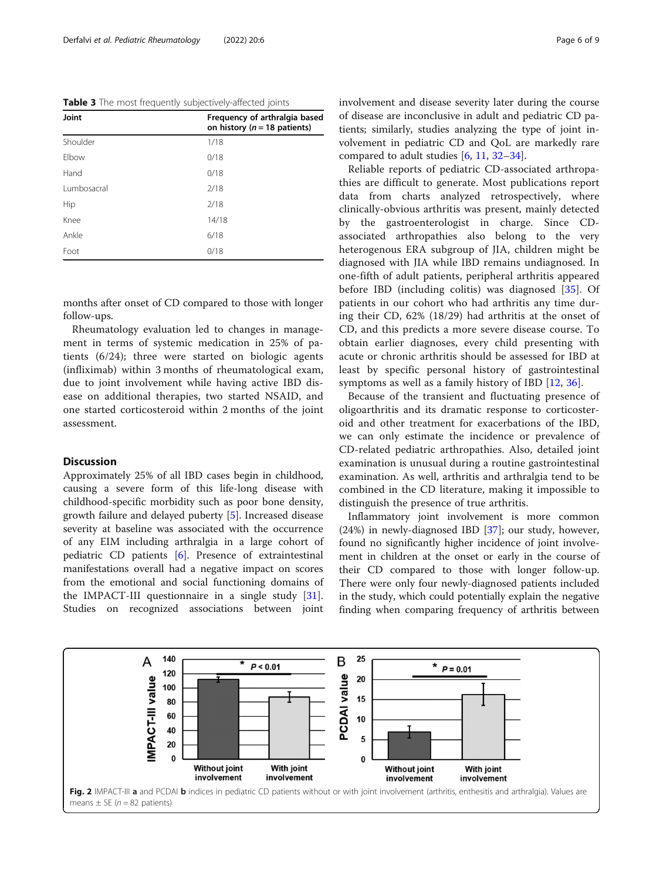<span id="page-5-0"></span>Table 3 The most frequently subjectively-affected joints

| Joint<br>Frequency of arthralgia based<br>on history ( $n = 18$ patients) |       |
|---------------------------------------------------------------------------|-------|
| Shoulder                                                                  | 1/18  |
| Elbow                                                                     | 0/18  |
| Hand                                                                      | 0/18  |
| Lumbosacral                                                               | 2/18  |
| Hip                                                                       | 2/18  |
| Knee                                                                      | 14/18 |
| Ankle                                                                     | 6/18  |
| Foot                                                                      | 0/18  |

months after onset of CD compared to those with longer follow-ups.

Rheumatology evaluation led to changes in management in terms of systemic medication in 25% of patients (6/24); three were started on biologic agents (infliximab) within 3 months of rheumatological exam, due to joint involvement while having active IBD disease on additional therapies, two started NSAID, and one started corticosteroid within 2 months of the joint assessment.

# **Discussion**

Approximately 25% of all IBD cases begin in childhood, causing a severe form of this life-long disease with childhood-specific morbidity such as poor bone density, growth failure and delayed puberty [[5\]](#page-7-0). Increased disease severity at baseline was associated with the occurrence of any EIM including arthralgia in a large cohort of pediatric CD patients [[6\]](#page-7-0). Presence of extraintestinal manifestations overall had a negative impact on scores from the emotional and social functioning domains of the IMPACT-III questionnaire in a single study [\[31](#page-8-0)]. Studies on recognized associations between joint

involvement and disease severity later during the course of disease are inconclusive in adult and pediatric CD patients; similarly, studies analyzing the type of joint involvement in pediatric CD and QoL are markedly rare compared to adult studies [\[6](#page-7-0), [11](#page-7-0), [32](#page-8-0)–[34\]](#page-8-0).

Reliable reports of pediatric CD-associated arthropathies are difficult to generate. Most publications report data from charts analyzed retrospectively, where clinically-obvious arthritis was present, mainly detected by the gastroenterologist in charge. Since CDassociated arthropathies also belong to the very heterogenous ERA subgroup of JIA, children might be diagnosed with JIA while IBD remains undiagnosed. In one-fifth of adult patients, peripheral arthritis appeared before IBD (including colitis) was diagnosed [[35](#page-8-0)]. Of patients in our cohort who had arthritis any time during their CD, 62% (18/29) had arthritis at the onset of CD, and this predicts a more severe disease course. To obtain earlier diagnoses, every child presenting with acute or chronic arthritis should be assessed for IBD at least by specific personal history of gastrointestinal symptoms as well as a family history of IBD [[12,](#page-7-0) [36\]](#page-8-0).

Because of the transient and fluctuating presence of oligoarthritis and its dramatic response to corticosteroid and other treatment for exacerbations of the IBD, we can only estimate the incidence or prevalence of CD-related pediatric arthropathies. Also, detailed joint examination is unusual during a routine gastrointestinal examination. As well, arthritis and arthralgia tend to be combined in the CD literature, making it impossible to distinguish the presence of true arthritis.

Inflammatory joint involvement is more common  $(24%)$  in newly-diagnosed IBD [[37\]](#page-8-0); our study, however, found no significantly higher incidence of joint involvement in children at the onset or early in the course of their CD compared to those with longer follow-up. There were only four newly-diagnosed patients included in the study, which could potentially explain the negative finding when comparing frequency of arthritis between

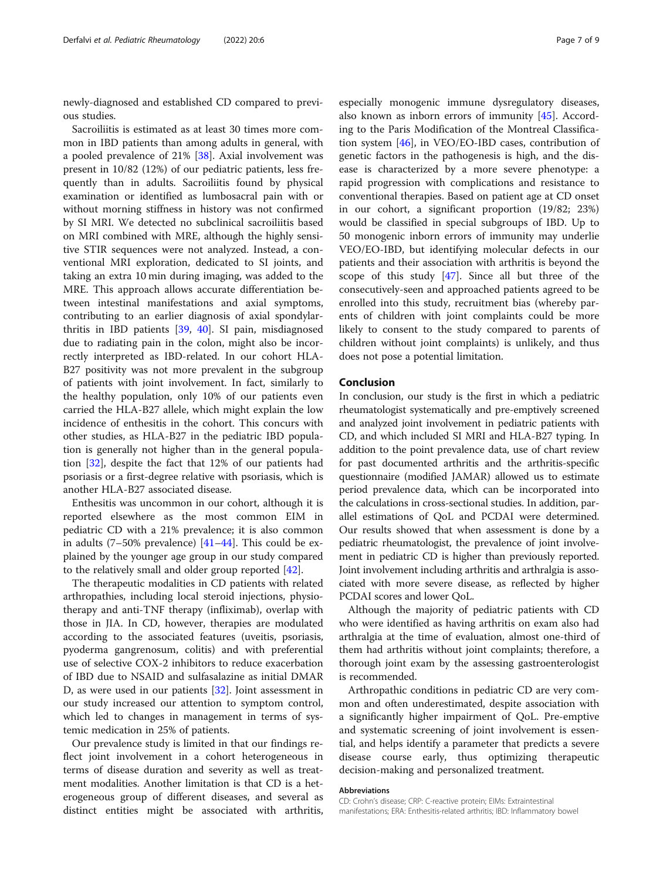newly-diagnosed and established CD compared to previous studies.

Sacroiliitis is estimated as at least 30 times more common in IBD patients than among adults in general, with a pooled prevalence of 21% [[38\]](#page-8-0). Axial involvement was present in 10/82 (12%) of our pediatric patients, less frequently than in adults. Sacroiliitis found by physical examination or identified as lumbosacral pain with or without morning stiffness in history was not confirmed by SI MRI. We detected no subclinical sacroiliitis based on MRI combined with MRE, although the highly sensitive STIR sequences were not analyzed. Instead, a conventional MRI exploration, dedicated to SI joints, and taking an extra 10 min during imaging, was added to the MRE. This approach allows accurate differentiation between intestinal manifestations and axial symptoms, contributing to an earlier diagnosis of axial spondylarthritis in IBD patients [\[39](#page-8-0), [40](#page-8-0)]. SI pain, misdiagnosed due to radiating pain in the colon, might also be incorrectly interpreted as IBD-related. In our cohort HLA-B27 positivity was not more prevalent in the subgroup of patients with joint involvement. In fact, similarly to the healthy population, only 10% of our patients even carried the HLA-B27 allele, which might explain the low incidence of enthesitis in the cohort. This concurs with other studies, as HLA-B27 in the pediatric IBD population is generally not higher than in the general population [\[32](#page-8-0)], despite the fact that 12% of our patients had psoriasis or a first-degree relative with psoriasis, which is another HLA-B27 associated disease.

Enthesitis was uncommon in our cohort, although it is reported elsewhere as the most common EIM in pediatric CD with a 21% prevalence; it is also common in adults (7–50% prevalence) [[41](#page-8-0)–[44\]](#page-8-0). This could be explained by the younger age group in our study compared to the relatively small and older group reported [[42](#page-8-0)].

The therapeutic modalities in CD patients with related arthropathies, including local steroid injections, physiotherapy and anti-TNF therapy (infliximab), overlap with those in JIA. In CD, however, therapies are modulated according to the associated features (uveitis, psoriasis, pyoderma gangrenosum, colitis) and with preferential use of selective COX-2 inhibitors to reduce exacerbation of IBD due to NSAID and sulfasalazine as initial DMAR D, as were used in our patients [[32\]](#page-8-0). Joint assessment in our study increased our attention to symptom control, which led to changes in management in terms of systemic medication in 25% of patients.

Our prevalence study is limited in that our findings reflect joint involvement in a cohort heterogeneous in terms of disease duration and severity as well as treatment modalities. Another limitation is that CD is a heterogeneous group of different diseases, and several as distinct entities might be associated with arthritis,

especially monogenic immune dysregulatory diseases, also known as inborn errors of immunity [\[45](#page-8-0)]. According to the Paris Modification of the Montreal Classification system  $[46]$ , in VEO/EO-IBD cases, contribution of genetic factors in the pathogenesis is high, and the disease is characterized by a more severe phenotype: a rapid progression with complications and resistance to conventional therapies. Based on patient age at CD onset in our cohort, a significant proportion (19/82; 23%) would be classified in special subgroups of IBD. Up to 50 monogenic inborn errors of immunity may underlie VEO/EO-IBD, but identifying molecular defects in our patients and their association with arthritis is beyond the scope of this study [[47\]](#page-8-0). Since all but three of the consecutively-seen and approached patients agreed to be enrolled into this study, recruitment bias (whereby parents of children with joint complaints could be more likely to consent to the study compared to parents of children without joint complaints) is unlikely, and thus does not pose a potential limitation.

# Conclusion

In conclusion, our study is the first in which a pediatric rheumatologist systematically and pre-emptively screened and analyzed joint involvement in pediatric patients with CD, and which included SI MRI and HLA-B27 typing. In addition to the point prevalence data, use of chart review for past documented arthritis and the arthritis-specific questionnaire (modified JAMAR) allowed us to estimate period prevalence data, which can be incorporated into the calculations in cross-sectional studies. In addition, parallel estimations of QoL and PCDAI were determined. Our results showed that when assessment is done by a pediatric rheumatologist, the prevalence of joint involvement in pediatric CD is higher than previously reported. Joint involvement including arthritis and arthralgia is associated with more severe disease, as reflected by higher PCDAI scores and lower QoL.

Although the majority of pediatric patients with CD who were identified as having arthritis on exam also had arthralgia at the time of evaluation, almost one-third of them had arthritis without joint complaints; therefore, a thorough joint exam by the assessing gastroenterologist is recommended.

Arthropathic conditions in pediatric CD are very common and often underestimated, despite association with a significantly higher impairment of QoL. Pre-emptive and systematic screening of joint involvement is essential, and helps identify a parameter that predicts a severe disease course early, thus optimizing therapeutic decision-making and personalized treatment.

#### Abbreviations

CD: Crohn's disease; CRP: C-reactive protein; EIMs: Extraintestinal manifestations; ERA: Enthesitis-related arthritis; IBD: Inflammatory bowel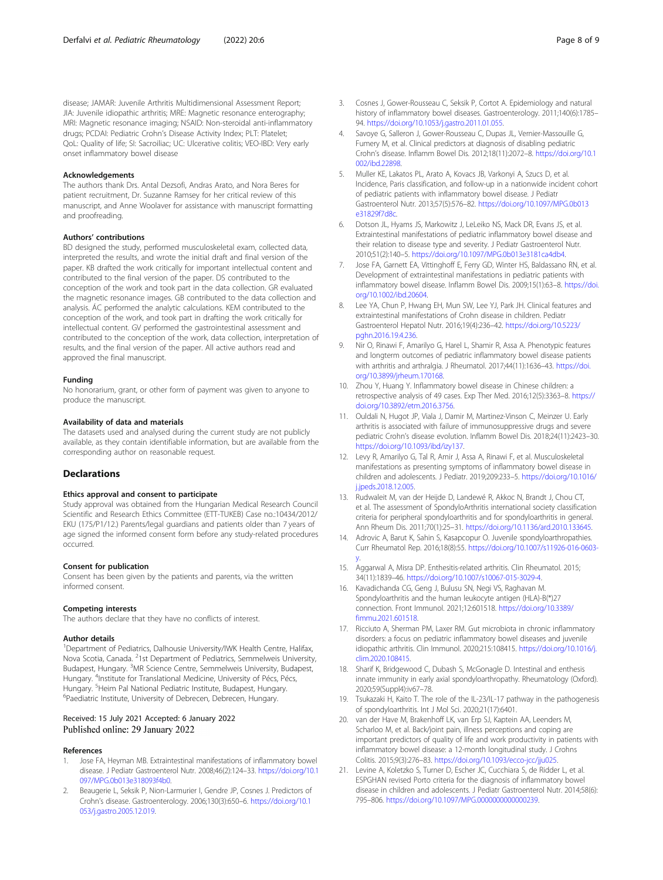<span id="page-7-0"></span>disease; JAMAR: Juvenile Arthritis Multidimensional Assessment Report; JIA: Juvenile idiopathic arthritis; MRE: Magnetic resonance enterography; MRI: Magnetic resonance imaging; NSAID: Non-steroidal anti-inflammatory drugs; PCDAI: Pediatric Crohn's Disease Activity Index; PLT: Platelet; QoL: Quality of life; SI: Sacroiliac; UC: Ulcerative colitis; VEO-IBD: Very early onset inflammatory bowel disease

#### Acknowledgements

The authors thank Drs. Antal Dezsofi, Andras Arato, and Nora Beres for patient recruitment, Dr. Suzanne Ramsey for her critical review of this manuscript, and Anne Woolaver for assistance with manuscript formatting and proofreading.

#### Authors' contributions

BD designed the study, performed musculoskeletal exam, collected data, interpreted the results, and wrote the initial draft and final version of the paper. KB drafted the work critically for important intellectual content and contributed to the final version of the paper. DS contributed to the conception of the work and took part in the data collection. GR evaluated the magnetic resonance images. GB contributed to the data collection and analysis. ÁC performed the analytic calculations. KEM contributed to the conception of the work, and took part in drafting the work critically for intellectual content. GV performed the gastrointestinal assessment and contributed to the conception of the work, data collection, interpretation of results, and the final version of the paper. All active authors read and approved the final manuscript.

#### Funding

No honorarium, grant, or other form of payment was given to anyone to produce the manuscript.

#### Availability of data and materials

The datasets used and analysed during the current study are not publicly available, as they contain identifiable information, but are available from the corresponding author on reasonable request.

#### **Declarations**

#### Ethics approval and consent to participate

Study approval was obtained from the Hungarian Medical Research Council Scientific and Research Ethics Committee (ETT-TUKEB) Case no.:10434/2012/ EKU (175/P1/12.) Parents/legal guardians and patients older than 7 years of age signed the informed consent form before any study-related procedures occurred.

#### Consent for publication

Consent has been given by the patients and parents, via the written informed consent.

#### Competing interests

The authors declare that they have no conflicts of interest.

#### Author details

<sup>1</sup>Department of Pediatrics, Dalhousie University/IWK Health Centre, Halifax, Nova Scotia, Canada. <sup>2</sup>1st Department of Pediatrics, Semmelweis University, Budapest, Hungary. <sup>3</sup>MR Science Centre, Semmelweis University, Budapest, Hungary. <sup>4</sup>Institute for Translational Medicine, University of Pécs, Pécs, Hungary. <sup>5</sup>Heim Pal National Pediatric Institute, Budapest, Hungary.<br><sup>6</sup>Paodiatric Institute, University of Debreson, Debreson, Hungary. <sup>6</sup>Paediatric Institute, University of Debrecen, Debrecen, Hungary.

#### Received: 15 July 2021 Accepted: 6 January 2022 Published online: 29 January 2022

#### References

- Jose FA, Heyman MB. Extraintestinal manifestations of inflammatory bowel disease. J Pediatr Gastroenterol Nutr. 2008;46(2):124–33. [https://doi.org/10.1](https://doi.org/10.1097/MPG.0b013e318093f4b0) [097/MPG.0b013e318093f4b0.](https://doi.org/10.1097/MPG.0b013e318093f4b0)
- 2. Beaugerie L, Seksik P, Nion-Larmurier I, Gendre JP, Cosnes J. Predictors of Crohn's disease. Gastroenterology. 2006;130(3):650–6. [https://doi.org/10.1](https://doi.org/10.1053/j.gastro.2005.12.019) [053/j.gastro.2005.12.019.](https://doi.org/10.1053/j.gastro.2005.12.019)
- 3. Cosnes J, Gower-Rousseau C, Seksik P, Cortot A. Epidemiology and natural history of inflammatory bowel diseases. Gastroenterology. 2011;140(6):1785– 94. [https://doi.org/10.1053/j.gastro.2011.01.055.](https://doi.org/10.1053/j.gastro.2011.01.055)
- Savoye G, Salleron J, Gower-Rousseau C, Dupas JL, Vernier-Massouille G, Fumery M, et al. Clinical predictors at diagnosis of disabling pediatric Crohn's disease. Inflamm Bowel Dis. 2012;18(11):2072–8. [https://doi.org/10.1](https://doi.org/10.1002/ibd.22898) [002/ibd.22898.](https://doi.org/10.1002/ibd.22898)
- 5. Muller KE, Lakatos PL, Arato A, Kovacs JB, Varkonyi A, Szucs D, et al. Incidence, Paris classification, and follow-up in a nationwide incident cohort of pediatric patients with inflammatory bowel disease. J Pediatr Gastroenterol Nutr. 2013;57(5):576–82. [https://doi.org/10.1097/MPG.0b013](https://doi.org/10.1097/MPG.0b013e31829f7d8c) [e31829f7d8c.](https://doi.org/10.1097/MPG.0b013e31829f7d8c)
- 6. Dotson JL, Hyams JS, Markowitz J, LeLeiko NS, Mack DR, Evans JS, et al. Extraintestinal manifestations of pediatric inflammatory bowel disease and their relation to disease type and severity. J Pediatr Gastroenterol Nutr. 2010;51(2):140–5. <https://doi.org/10.1097/MPG.0b013e3181ca4db4>.
- 7. Jose FA, Garnett EA, Vittinghoff E, Ferry GD, Winter HS, Baldassano RN, et al. Development of extraintestinal manifestations in pediatric patients with inflammatory bowel disease. Inflamm Bowel Dis. 2009;15(1):63–8. [https://doi.](https://doi.org/10.1002/ibd.20604) [org/10.1002/ibd.20604](https://doi.org/10.1002/ibd.20604).
- Lee YA, Chun P, Hwang EH, Mun SW, Lee YJ, Park JH. Clinical features and extraintestinal manifestations of Crohn disease in children. Pediatr Gastroenterol Hepatol Nutr. 2016;19(4):236–42. [https://doi.org/10.5223/](https://doi.org/10.5223/pghn.2016.19.4.236) [pghn.2016.19.4.236.](https://doi.org/10.5223/pghn.2016.19.4.236)
- Nir O, Rinawi F, Amarilyo G, Harel L, Shamir R, Assa A. Phenotypic features and longterm outcomes of pediatric inflammatory bowel disease patients with arthritis and arthralgia. J Rheumatol. 2017;44(11):1636–43. [https://doi.](https://doi.org/10.3899/jrheum.170168) [org/10.3899/jrheum.170168.](https://doi.org/10.3899/jrheum.170168)
- 10. Zhou Y, Huang Y. Inflammatory bowel disease in Chinese children: a retrospective analysis of 49 cases. Exp Ther Med. 2016;12(5):3363–8. [https://](https://doi.org/10.3892/etm.2016.3756) [doi.org/10.3892/etm.2016.3756](https://doi.org/10.3892/etm.2016.3756).
- 11. Ouldali N, Hugot JP, Viala J, Damir M, Martinez-Vinson C, Meinzer U. Early arthritis is associated with failure of immunosuppressive drugs and severe pediatric Crohn's disease evolution. Inflamm Bowel Dis. 2018;24(11):2423–30. <https://doi.org/10.1093/ibd/izy137>.
- 12. Levy R, Amarilyo G, Tal R, Amir J, Assa A, Rinawi F, et al. Musculoskeletal manifestations as presenting symptoms of inflammatory bowel disease in children and adolescents. J Pediatr. 2019;209:233–5. [https://doi.org/10.1016/](https://doi.org/10.1016/j.jpeds.2018.12.005) i.jpeds.2018.12.005.
- 13. Rudwaleit M, van der Heijde D, Landewé R, Akkoc N, Brandt J, Chou CT, et al. The assessment of SpondyloArthritis international society classification criteria for peripheral spondyloarthritis and for spondyloarthritis in general. Ann Rheum Dis. 2011;70(1):25–31. <https://doi.org/10.1136/ard.2010.133645>.
- 14. Adrovic A, Barut K, Sahin S, Kasapcopur O. Juvenile spondyloarthropathies. Curr Rheumatol Rep. 2016;18(8):55. [https://doi.org/10.1007/s11926-016-0603](https://doi.org/10.1007/s11926-016-0603-y) [y.](https://doi.org/10.1007/s11926-016-0603-y)
- 15. Aggarwal A, Misra DP. Enthesitis-related arthritis. Clin Rheumatol. 2015; 34(11):1839–46. <https://doi.org/10.1007/s10067-015-3029-4>.
- 16. Kavadichanda CG, Geng J, Bulusu SN, Negi VS, Raghavan M. Spondyloarthritis and the human leukocyte antigen (HLA)-B(\*)27 connection. Front Immunol. 2021;12:601518. [https://doi.org/10.3389/](https://doi.org/10.3389/fimmu.2021.601518) [fimmu.2021.601518.](https://doi.org/10.3389/fimmu.2021.601518)
- 17. Ricciuto A, Sherman PM, Laxer RM. Gut microbiota in chronic inflammatory disorders: a focus on pediatric inflammatory bowel diseases and juvenile idiopathic arthritis. Clin Immunol. 2020;215:108415. [https://doi.org/10.1016/j.](https://doi.org/10.1016/j.clim.2020.108415) [clim.2020.108415](https://doi.org/10.1016/j.clim.2020.108415).
- 18. Sharif K, Bridgewood C, Dubash S, McGonagle D. Intestinal and enthesis innate immunity in early axial spondyloarthropathy. Rheumatology (Oxford). 2020;59(Suppl4):iv67–78.
- 19. Tsukazaki H, Kaito T. The role of the IL-23/IL-17 pathway in the pathogenesis of spondyloarthritis. Int J Mol Sci. 2020;21(17):6401.
- 20. van der Have M, Brakenhoff LK, van Erp SJ, Kaptein AA, Leenders M, Scharloo M, et al. Back/joint pain, illness perceptions and coping are important predictors of quality of life and work productivity in patients with inflammatory bowel disease: a 12-month longitudinal study. J Crohns Colitis. 2015;9(3):276–83. <https://doi.org/10.1093/ecco-jcc/jju025>.
- 21. Levine A, Koletzko S, Turner D, Escher JC, Cucchiara S, de Ridder L, et al. ESPGHAN revised Porto criteria for the diagnosis of inflammatory bowel disease in children and adolescents. J Pediatr Gastroenterol Nutr. 2014;58(6): 795–806. [https://doi.org/10.1097/MPG.0000000000000239.](https://doi.org/10.1097/MPG.0000000000000239)